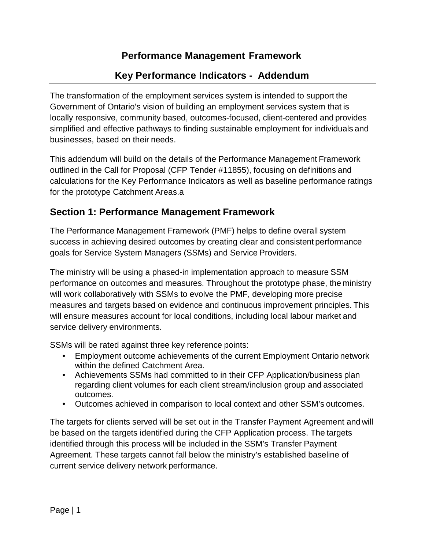## **Performance Management Framework**

# **Key Performance Indicators - Addendum**

The transformation of the employment services system is intended to support the Government of Ontario's vision of building an employment services system that is locally responsive, community based, outcomes-focused, client-centered and provides simplified and effective pathways to finding sustainable employment for individuals and businesses, based on their needs.

This addendum will build on the details of the Performance Management Framework outlined in the Call for Proposal (CFP Tender #11855), focusing on definitions and calculations for the Key Performance Indicators as well as baseline performance ratings for the prototype Catchment Areas.a

## **Section 1: Performance Management Framework**

The Performance Management Framework (PMF) helps to define overall system success in achieving desired outcomes by creating clear and consistent performance goals for Service System Managers (SSMs) and Service Providers.

The ministry will be using a phased-in implementation approach to measure SSM performance on outcomes and measures. Throughout the prototype phase, the ministry will work collaboratively with SSMs to evolve the PMF, developing more precise measures and targets based on evidence and continuous improvement principles. This will ensure measures account for local conditions, including local labour market and service delivery environments.

SSMs will be rated against three key reference points:

- Employment outcome achievements of the current Employment Ontario network within the defined Catchment Area.
- Achievements SSMs had committed to in their CFP Application/business plan regarding client volumes for each client stream/inclusion group and associated outcomes.
- Outcomes achieved in comparison to local context and other SSM's outcomes.

The targets for clients served will be set out in the Transfer Payment Agreement and will be based on the targets identified during the CFP Application process. The targets identified through this process will be included in the SSM's Transfer Payment Agreement. These targets cannot fall below the ministry's established baseline of current service delivery network performance.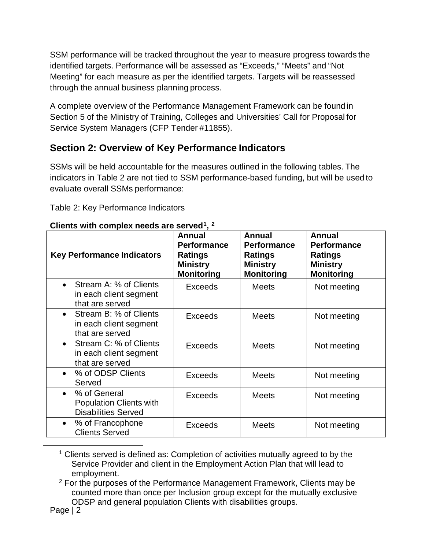SSM performance will be tracked throughout the year to measure progress towards the identified targets. Performance will be assessed as "Exceeds," "Meets" and "Not Meeting" for each measure as per the identified targets. Targets will be reassessed through the annual business planning process.

A complete overview of the Performance Management Framework can be found in Section 5 of the Ministry of Training, Colleges and Universities' Call for Proposal for Service System Managers (CFP Tender #11855).

# **Section 2: Overview of Key Performance Indicators**

SSMs will be held accountable for the measures outlined in the following tables. The indicators in Table 2 are not tied to SSM performance-based funding, but will be used to evaluate overall SSMs performance:

Table 2: Key Performance Indicators

| <b>Key Performance Indicators</b>                                                         | Annual<br><b>Performance</b><br><b>Ratings</b><br><b>Ministry</b><br><b>Monitoring</b> | <b>Annual</b><br><b>Performance</b><br><b>Ratings</b><br><b>Ministry</b><br><b>Monitoring</b> | <b>Annual</b><br><b>Performance</b><br><b>Ratings</b><br><b>Ministry</b><br><b>Monitoring</b> |
|-------------------------------------------------------------------------------------------|----------------------------------------------------------------------------------------|-----------------------------------------------------------------------------------------------|-----------------------------------------------------------------------------------------------|
| Stream A: % of Clients<br>$\bullet$<br>in each client segment<br>that are served          | <b>Exceeds</b>                                                                         | <b>Meets</b>                                                                                  | Not meeting                                                                                   |
| Stream B: % of Clients<br>$\bullet$<br>in each client segment<br>that are served          | <b>Exceeds</b>                                                                         | <b>Meets</b>                                                                                  | Not meeting                                                                                   |
| Stream C: % of Clients<br>$\bullet$<br>in each client segment<br>that are served          | <b>Exceeds</b>                                                                         | <b>Meets</b>                                                                                  | Not meeting                                                                                   |
| % of ODSP Clients<br>$\bullet$<br>Served                                                  | <b>Exceeds</b>                                                                         | <b>Meets</b>                                                                                  | Not meeting                                                                                   |
| % of General<br>$\bullet$<br><b>Population Clients with</b><br><b>Disabilities Served</b> | <b>Exceeds</b>                                                                         | <b>Meets</b>                                                                                  | Not meeting                                                                                   |
| % of Francophone<br>$\bullet$<br><b>Clients Served</b>                                    | <b>Exceeds</b>                                                                         | <b>Meets</b>                                                                                  | Not meeting                                                                                   |

#### **Clients with complex needs are served[1,](#page-1-0) [2](#page-1-1)**

<sup>1</sup> Clients served is defined as: Completion of activities mutually agreed to by the Service Provider and client in the Employment Action Plan that will lead to employment.

<sup>2</sup> For the purposes of the Performance Management Framework, Clients may be counted more than once per Inclusion group except for the mutually exclusive ODSP and general population Clients with disabilities groups.

<span id="page-1-1"></span><span id="page-1-0"></span> $\overline{a}$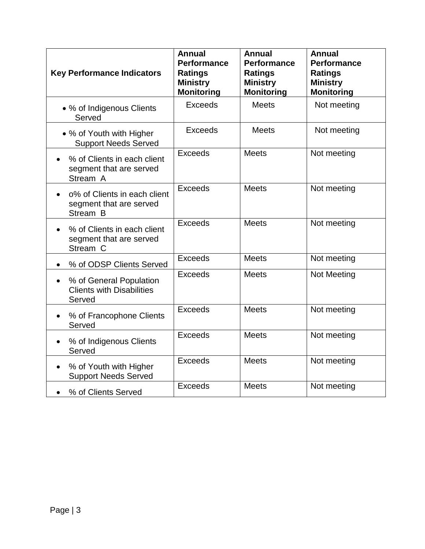| <b>Key Performance Indicators</b>                                     | <b>Annual</b><br><b>Performance</b><br><b>Ratings</b><br><b>Ministry</b><br><b>Monitoring</b> | <b>Annual</b><br><b>Performance</b><br><b>Ratings</b><br><b>Ministry</b><br><b>Monitoring</b> | <b>Annual</b><br><b>Performance</b><br><b>Ratings</b><br><b>Ministry</b><br><b>Monitoring</b> |
|-----------------------------------------------------------------------|-----------------------------------------------------------------------------------------------|-----------------------------------------------------------------------------------------------|-----------------------------------------------------------------------------------------------|
| • % of Indigenous Clients<br>Served                                   | <b>Exceeds</b>                                                                                | <b>Meets</b>                                                                                  | Not meeting                                                                                   |
| • % of Youth with Higher<br><b>Support Needs Served</b>               | <b>Exceeds</b>                                                                                | <b>Meets</b>                                                                                  | Not meeting                                                                                   |
| % of Clients in each client<br>segment that are served<br>Stream A    | Exceeds                                                                                       | <b>Meets</b>                                                                                  | Not meeting                                                                                   |
| o% of Clients in each client<br>segment that are served<br>Stream B   | Exceeds                                                                                       | <b>Meets</b>                                                                                  | Not meeting                                                                                   |
| % of Clients in each client<br>segment that are served<br>Stream C    | Exceeds                                                                                       | <b>Meets</b>                                                                                  | Not meeting                                                                                   |
| % of ODSP Clients Served<br>$\bullet$                                 | <b>Exceeds</b>                                                                                | <b>Meets</b>                                                                                  | Not meeting                                                                                   |
| % of General Population<br><b>Clients with Disabilities</b><br>Served | <b>Exceeds</b>                                                                                | <b>Meets</b>                                                                                  | Not Meeting                                                                                   |
| % of Francophone Clients<br>Served                                    | <b>Exceeds</b>                                                                                | <b>Meets</b>                                                                                  | Not meeting                                                                                   |
| % of Indigenous Clients<br>Served                                     | <b>Exceeds</b>                                                                                | <b>Meets</b>                                                                                  | Not meeting                                                                                   |
| % of Youth with Higher<br>$\bullet$<br><b>Support Needs Served</b>    | <b>Exceeds</b>                                                                                | <b>Meets</b>                                                                                  | Not meeting                                                                                   |
| % of Clients Served                                                   | <b>Exceeds</b>                                                                                | Meets                                                                                         | Not meeting                                                                                   |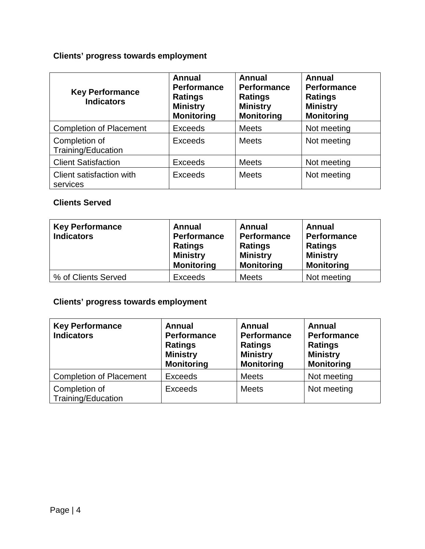# **Clients' progress towards employment**

| <b>Key Performance</b><br><b>Indicators</b> | <b>Annual</b><br><b>Performance</b><br><b>Ratings</b><br><b>Ministry</b><br><b>Monitoring</b> | <b>Annual</b><br><b>Performance</b><br><b>Ratings</b><br><b>Ministry</b><br><b>Monitoring</b> | <b>Annual</b><br><b>Performance</b><br><b>Ratings</b><br><b>Ministry</b><br><b>Monitoring</b> |
|---------------------------------------------|-----------------------------------------------------------------------------------------------|-----------------------------------------------------------------------------------------------|-----------------------------------------------------------------------------------------------|
| <b>Completion of Placement</b>              | <b>Exceeds</b>                                                                                | <b>Meets</b>                                                                                  | Not meeting                                                                                   |
| Completion of<br>Training/Education         | <b>Exceeds</b>                                                                                | <b>Meets</b>                                                                                  | Not meeting                                                                                   |
| <b>Client Satisfaction</b>                  | <b>Exceeds</b>                                                                                | <b>Meets</b>                                                                                  | Not meeting                                                                                   |
| Client satisfaction with<br>services        | <b>Exceeds</b>                                                                                | <b>Meets</b>                                                                                  | Not meeting                                                                                   |

### **Clients Served**

| <b>Key Performance</b><br><b>Indicators</b> | Annual<br><b>Performance</b><br><b>Ratings</b><br><b>Ministry</b><br><b>Monitoring</b> | Annual<br><b>Performance</b><br><b>Ratings</b><br><b>Ministry</b><br><b>Monitoring</b> | Annual<br>Performance<br><b>Ratings</b><br><b>Ministry</b><br><b>Monitoring</b> |
|---------------------------------------------|----------------------------------------------------------------------------------------|----------------------------------------------------------------------------------------|---------------------------------------------------------------------------------|
| % of Clients Served                         | <b>Exceeds</b>                                                                         | <b>Meets</b>                                                                           | Not meeting                                                                     |

## **Clients' progress towards employment**

| <b>Key Performance</b><br><b>Indicators</b> | <b>Annual</b><br><b>Performance</b><br><b>Ratings</b><br><b>Ministry</b><br><b>Monitoring</b> | <b>Annual</b><br><b>Performance</b><br><b>Ratings</b><br><b>Ministry</b><br><b>Monitoring</b> | <b>Annual</b><br>Performance<br><b>Ratings</b><br><b>Ministry</b><br><b>Monitoring</b> |
|---------------------------------------------|-----------------------------------------------------------------------------------------------|-----------------------------------------------------------------------------------------------|----------------------------------------------------------------------------------------|
| <b>Completion of Placement</b>              | <b>Exceeds</b>                                                                                | <b>Meets</b>                                                                                  | Not meeting                                                                            |
| Completion of<br>Training/Education         | <b>Exceeds</b>                                                                                | <b>Meets</b>                                                                                  | Not meeting                                                                            |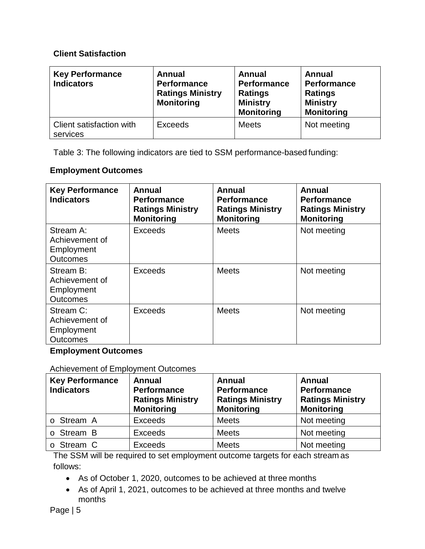#### **Client Satisfaction**

| <b>Key Performance</b><br><b>Indicators</b> | <b>Annual</b><br><b>Performance</b><br><b>Ratings Ministry</b><br><b>Monitoring</b> | <b>Annual</b><br><b>Performance</b><br><b>Ratings</b><br><b>Ministry</b><br><b>Monitoring</b> | Annual<br>Performance<br><b>Ratings</b><br><b>Ministry</b><br><b>Monitoring</b> |
|---------------------------------------------|-------------------------------------------------------------------------------------|-----------------------------------------------------------------------------------------------|---------------------------------------------------------------------------------|
| Client satisfaction with<br>services        | <b>Exceeds</b>                                                                      | <b>Meets</b>                                                                                  | Not meeting                                                                     |

Table 3: The following indicators are tied to SSM performance-based funding:

### **Employment Outcomes**

| <b>Key Performance</b><br><b>Indicators</b>                  | Annual<br><b>Performance</b><br><b>Ratings Ministry</b><br><b>Monitoring</b> | Annual<br><b>Performance</b><br><b>Ratings Ministry</b><br><b>Monitoring</b> | Annual<br><b>Performance</b><br><b>Ratings Ministry</b><br><b>Monitoring</b> |
|--------------------------------------------------------------|------------------------------------------------------------------------------|------------------------------------------------------------------------------|------------------------------------------------------------------------------|
| Stream A:<br>Achievement of<br>Employment<br><b>Outcomes</b> | <b>Exceeds</b>                                                               | <b>Meets</b>                                                                 | Not meeting                                                                  |
| Stream B:<br>Achievement of<br>Employment<br><b>Outcomes</b> | Exceeds                                                                      | <b>Meets</b>                                                                 | Not meeting                                                                  |
| Stream C:<br>Achievement of<br>Employment<br><b>Outcomes</b> | Exceeds                                                                      | <b>Meets</b>                                                                 | Not meeting                                                                  |

#### **Employment Outcomes**

Achievement of Employment Outcomes

| <b>Key Performance</b><br><b>Indicators</b> | <b>Annual</b><br><b>Performance</b><br><b>Ratings Ministry</b><br><b>Monitoring</b> | <b>Annual</b><br><b>Performance</b><br><b>Ratings Ministry</b><br><b>Monitoring</b> | <b>Annual</b><br><b>Performance</b><br><b>Ratings Ministry</b><br><b>Monitoring</b> |
|---------------------------------------------|-------------------------------------------------------------------------------------|-------------------------------------------------------------------------------------|-------------------------------------------------------------------------------------|
| o Stream A                                  | <b>Exceeds</b>                                                                      | <b>Meets</b>                                                                        | Not meeting                                                                         |
| o Stream B                                  | <b>Exceeds</b>                                                                      | <b>Meets</b>                                                                        | Not meeting                                                                         |
| o Stream C                                  | <b>Exceeds</b>                                                                      | <b>Meets</b>                                                                        | Not meeting                                                                         |

The SSM will be required to set employment outcome targets for each stream as follows:

- As of October 1, 2020, outcomes to be achieved at three months
- As of April 1, 2021, outcomes to be achieved at three months and twelve months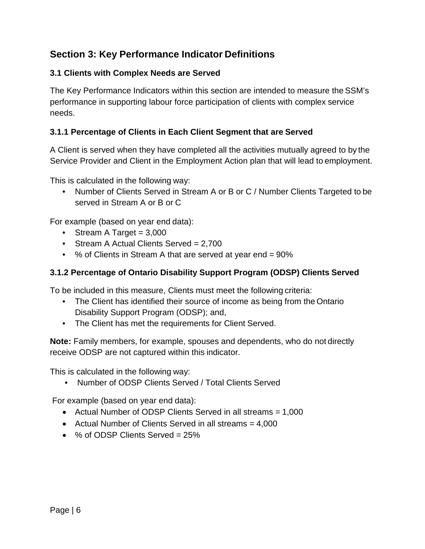## **Section 3: Key Performance Indicator Definitions**

#### **3.1 Clients with Complex Needs are Served**

The Key Performance Indicators within this section are intended to measure the SSM's performance in supporting labour force participation of clients with complex service needs.

### **3.1.1 Percentage of Clients in Each Client Segment that are Served**

A Client is served when they have completed all the activities mutually agreed to by the Service Provider and Client in the Employment Action plan that will lead to employment.

This is calculated in the following way:

• Number of Clients Served in Stream A or B or C / Number Clients Targeted to be served in Stream A or B or C

For example (based on year end data):

- Stream A Target  $= 3,000$
- Stream A Actual Clients Served = 2,700
- % of Clients in Stream A that are served at year end = 90%

#### **3.1.2 Percentage of Ontario Disability Support Program (ODSP) Clients Served**

To be included in this measure, Clients must meet the following criteria:

- The Client has identified their source of income as being from the Ontario Disability Support Program (ODSP); and,
- The Client has met the requirements for Client Served.

**Note:** Family members, for example, spouses and dependents, who do not directly receive ODSP are not captured within this indicator.

This is calculated in the following way:

• Number of ODSP Clients Served / Total Clients Served

For example (based on year end data):

- Actual Number of ODSP Clients Served in all streams = 1,000
- Actual Number of Clients Served in all streams = 4,000
- % of ODSP Clients Served = 25%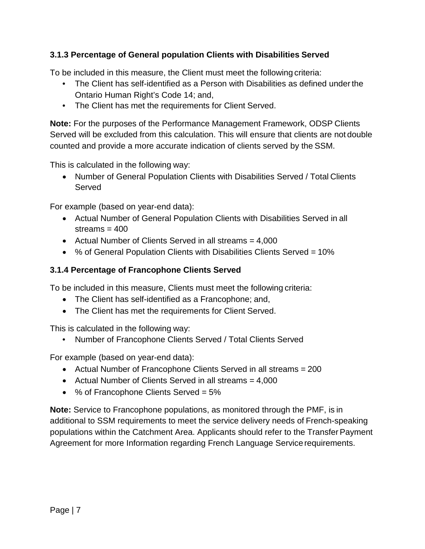### **3.1.3 Percentage of General population Clients with Disabilities Served**

To be included in this measure, the Client must meet the following criteria:

- The Client has self-identified as a Person with Disabilities as defined under the Ontario Human Right's Code 14; and,
- The Client has met the requirements for Client Served.

**Note:** For the purposes of the Performance Management Framework, ODSP Clients Served will be excluded from this calculation. This will ensure that clients are not double counted and provide a more accurate indication of clients served by the SSM.

This is calculated in the following way:

• Number of General Population Clients with Disabilities Served / Total Clients Served

For example (based on year-end data):

- Actual Number of General Population Clients with Disabilities Served in all streams  $= 400$
- Actual Number of Clients Served in all streams = 4,000
- % of General Population Clients with Disabilities Clients Served = 10%

#### **3.1.4 Percentage of Francophone Clients Served**

To be included in this measure, Clients must meet the following criteria:

- The Client has self-identified as a Francophone; and,
- The Client has met the requirements for Client Served.

This is calculated in the following way:

• Number of Francophone Clients Served / Total Clients Served

For example (based on year-end data):

- Actual Number of Francophone Clients Served in all streams = 200
- Actual Number of Clients Served in all streams  $= 4,000$
- % of Francophone Clients Served = 5%

**Note:** Service to Francophone populations, as monitored through the PMF, is in additional to SSM requirements to meet the service delivery needs of French-speaking populations within the Catchment Area. Applicants should refer to the Transfer Payment Agreement for more Information regarding French Language Service requirements.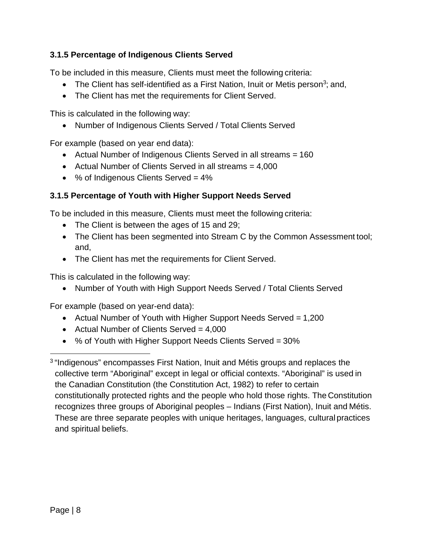### **3.1.5 Percentage of Indigenous Clients Served**

To be included in this measure, Clients must meet the following criteria:

- The Client has self-identified as a First Nation, Inuit or Metis person<sup>3</sup>; and,
- The Client has met the requirements for Client Served.

This is calculated in the following way:

• Number of Indigenous Clients Served / Total Clients Served

For example (based on year end data):

- Actual Number of Indigenous Clients Served in all streams = 160
- Actual Number of Clients Served in all streams = 4,000
- % of Indigenous Clients Served = 4%

### **3.1.5 Percentage of Youth with Higher Support Needs Served**

To be included in this measure, Clients must meet the following criteria:

- The Client is between the ages of 15 and 29;
- The Client has been segmented into Stream C by the Common Assessment tool; and,
- The Client has met the requirements for Client Served.

This is calculated in the following way:

• Number of Youth with High Support Needs Served / Total Clients Served

For example (based on year-end data):

- Actual Number of Youth with Higher Support Needs Served = 1,200
- Actual Number of Clients Served  $= 4,000$
- % of Youth with Higher Support Needs Clients Served = 30%

3 "Indigenous" encompasses First Nation, Inuit and Métis groups and replaces the collective term "Aboriginal" except in legal or official contexts. "Aboriginal" is used in the Canadian Constitution (the Constitution Act, 1982) to refer to certain constitutionally protected rights and the people who hold those rights. The Constitution recognizes three groups of Aboriginal peoples – Indians (First Nation), Inuit and Métis. These are three separate peoples with unique heritages, languages, cultural practices and spiritual beliefs.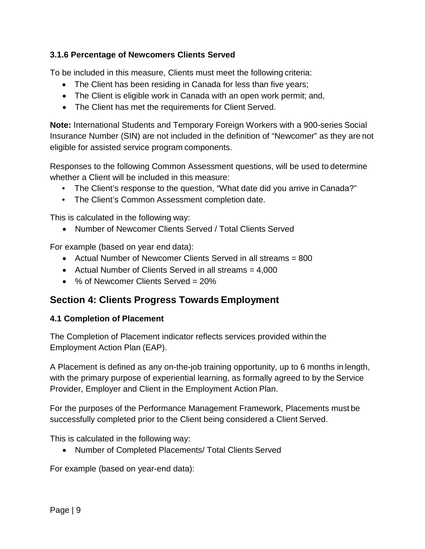### **3.1.6 Percentage of Newcomers Clients Served**

To be included in this measure, Clients must meet the following criteria:

- The Client has been residing in Canada for less than five years;
- The Client is eligible work in Canada with an open work permit; and,
- The Client has met the requirements for Client Served.

**Note:** International Students and Temporary Foreign Workers with a 900-series Social Insurance Number (SIN) are not included in the definition of "Newcomer" as they are not eligible for assisted service program components.

Responses to the following Common Assessment questions, will be used to determine whether a Client will be included in this measure:

- The Client's response to the question, "What date did you arrive in Canada?"
- The Client's Common Assessment completion date.

This is calculated in the following way:

• Number of Newcomer Clients Served / Total Clients Served

For example (based on year end data):

- Actual Number of Newcomer Clients Served in all streams = 800
- Actual Number of Clients Served in all streams = 4,000
- % of Newcomer Clients Served = 20%

## **Section 4: Clients Progress Towards Employment**

#### **4.1 Completion of Placement**

The Completion of Placement indicator reflects services provided within the Employment Action Plan (EAP).

A Placement is defined as any on-the-job training opportunity, up to 6 months in length, with the primary purpose of experiential learning, as formally agreed to by the Service Provider, Employer and Client in the Employment Action Plan.

For the purposes of the Performance Management Framework, Placements must be successfully completed prior to the Client being considered a Client Served.

This is calculated in the following way:

• Number of Completed Placements/ Total Clients Served

For example (based on year-end data):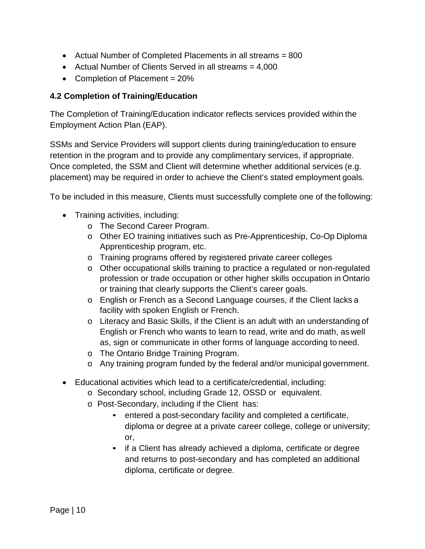- Actual Number of Completed Placements in all streams = 800
- Actual Number of Clients Served in all streams = 4,000
- Completion of Placement = 20%

### **4.2 Completion of Training/Education**

The Completion of Training/Education indicator reflects services provided within the Employment Action Plan (EAP).

SSMs and Service Providers will support clients during training/education to ensure retention in the program and to provide any complimentary services, if appropriate. Once completed, the SSM and Client will determine whether additional services (e.g. placement) may be required in order to achieve the Client's stated employment goals.

To be included in this measure, Clients must successfully complete one of the following:

- Training activities, including:
	- o The Second Career Program.
	- o Other EO training initiatives such as Pre-Apprenticeship, Co-Op Diploma Apprenticeship program, etc.
	- o Training programs offered by registered private career colleges
	- o Other occupational skills training to practice a regulated or non-regulated profession or trade occupation or other higher skills occupation in Ontario or training that clearly supports the Client's career goals.
	- o English or French as a Second Language courses, if the Client lacks a facility with spoken English or French.
	- o Literacy and Basic Skills, if the Client is an adult with an understanding of English or French who wants to learn to read, write and do math, as well as, sign or communicate in other forms of language according to need.
	- o The Ontario Bridge Training Program.
	- o Any training program funded by the federal and/or municipal government.
- Educational activities which lead to a certificate/credential, including:
	- o Secondary school, including Grade 12, OSSD or equivalent.
	- o Post-Secondary, including if the Client has:
		- entered a post-secondary facility and completed a certificate, diploma or degree at a private career college, college or university; or,
		- **EXTE:** if a Client has already achieved a diploma, certificate or degree and returns to post-secondary and has completed an additional diploma, certificate or degree.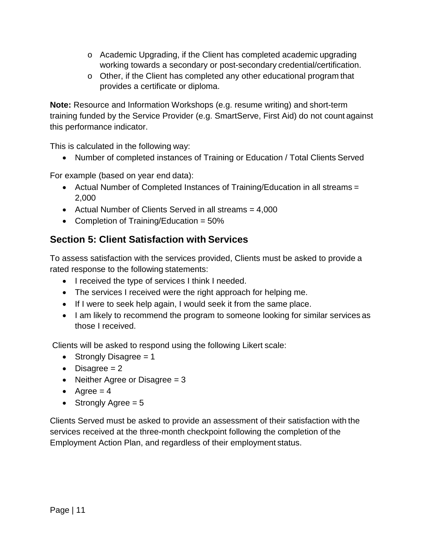- o Academic Upgrading, if the Client has completed academic upgrading working towards a secondary or post-secondary credential/certification.
- o Other, if the Client has completed any other educational program that provides a certificate or diploma.

**Note:** Resource and Information Workshops (e.g. resume writing) and short-term training funded by the Service Provider (e.g. SmartServe, First Aid) do not count against this performance indicator.

This is calculated in the following way:

• Number of completed instances of Training or Education / Total Clients Served

For example (based on year end data):

- Actual Number of Completed Instances of Training/Education in all streams = 2,000
- Actual Number of Clients Served in all streams = 4,000
- Completion of Training/Education = 50%

# **Section 5: Client Satisfaction with Services**

To assess satisfaction with the services provided, Clients must be asked to provide a rated response to the following statements:

- I received the type of services I think I needed.
- The services I received were the right approach for helping me.
- If I were to seek help again, I would seek it from the same place.
- I am likely to recommend the program to someone looking for similar services as those I received.

Clients will be asked to respond using the following Likert scale:

- Strongly Disagree  $= 1$
- Disagree  $= 2$
- Neither Agree or Disagree  $= 3$
- Agree  $= 4$
- Strongly Agree  $= 5$

Clients Served must be asked to provide an assessment of their satisfaction with the services received at the three-month checkpoint following the completion of the Employment Action Plan, and regardless of their employment status.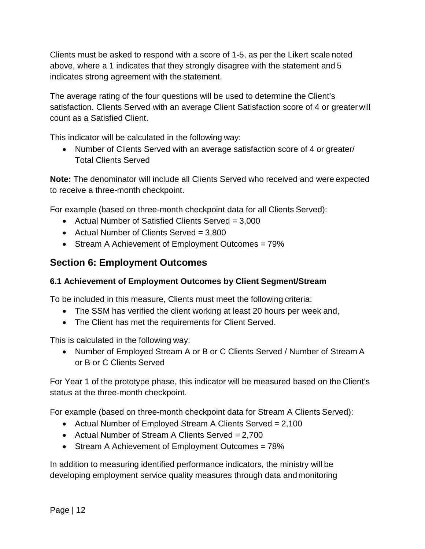Clients must be asked to respond with a score of 1-5, as per the Likert scale noted above, where a 1 indicates that they strongly disagree with the statement and 5 indicates strong agreement with the statement.

The average rating of the four questions will be used to determine the Client's satisfaction. Clients Served with an average Client Satisfaction score of 4 or greater will count as a Satisfied Client.

This indicator will be calculated in the following way:

• Number of Clients Served with an average satisfaction score of 4 or greater/ Total Clients Served

**Note:** The denominator will include all Clients Served who received and were expected to receive a three-month checkpoint.

For example (based on three-month checkpoint data for all Clients Served):

- Actual Number of Satisfied Clients Served = 3,000
- Actual Number of Clients Served = 3,800
- Stream A Achievement of Employment Outcomes = 79%

## **Section 6: Employment Outcomes**

### **6.1 Achievement of Employment Outcomes by Client Segment/Stream**

To be included in this measure, Clients must meet the following criteria:

- The SSM has verified the client working at least 20 hours per week and,
- The Client has met the requirements for Client Served.

This is calculated in the following way:

• Number of Employed Stream A or B or C Clients Served / Number of Stream A or B or C Clients Served

For Year 1 of the prototype phase, this indicator will be measured based on the Client's status at the three-month checkpoint.

For example (based on three-month checkpoint data for Stream A Clients Served):

- Actual Number of Employed Stream A Clients Served = 2,100
- Actual Number of Stream A Clients Served = 2,700
- Stream A Achievement of Employment Outcomes = 78%

In addition to measuring identified performance indicators, the ministry will be developing employment service quality measures through data andmonitoring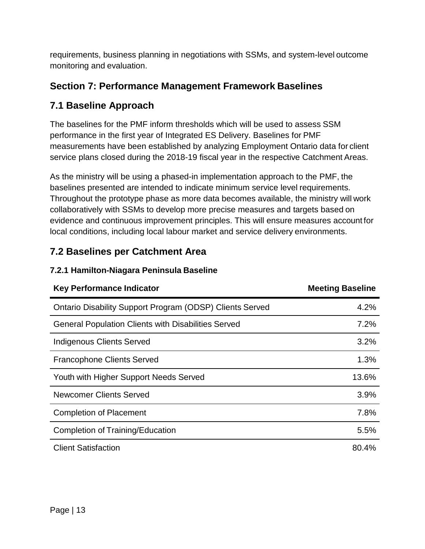requirements, business planning in negotiations with SSMs, and system-level outcome monitoring and evaluation.

# **Section 7: Performance Management Framework Baselines**

# **7.1 Baseline Approach**

The baselines for the PMF inform thresholds which will be used to assess SSM performance in the first year of Integrated ES Delivery. Baselines for PMF measurements have been established by analyzing Employment Ontario data for client service plans closed during the 2018-19 fiscal year in the respective Catchment Areas.

As the ministry will be using a phased-in implementation approach to the PMF, the baselines presented are intended to indicate minimum service level requirements. Throughout the prototype phase as more data becomes available, the ministry will work collaboratively with SSMs to develop more precise measures and targets based on evidence and continuous improvement principles. This will ensure measures account for local conditions, including local labour market and service delivery environments.

# **7.2 Baselines per Catchment Area**

### **7.2.1 Hamilton-Niagara Peninsula Baseline**

| <b>Key Performance Indicator</b>                                | <b>Meeting Baseline</b> |
|-----------------------------------------------------------------|-------------------------|
| <b>Ontario Disability Support Program (ODSP) Clients Served</b> | 4.2%                    |
| <b>General Population Clients with Disabilities Served</b>      | 7.2%                    |
| <b>Indigenous Clients Served</b>                                | 3.2%                    |
| <b>Francophone Clients Served</b>                               | 1.3%                    |
| Youth with Higher Support Needs Served                          | 13.6%                   |
| <b>Newcomer Clients Served</b>                                  | 3.9%                    |
| <b>Completion of Placement</b>                                  | 7.8%                    |
| <b>Completion of Training/Education</b>                         | 5.5%                    |
| <b>Client Satisfaction</b>                                      | 80.4%                   |